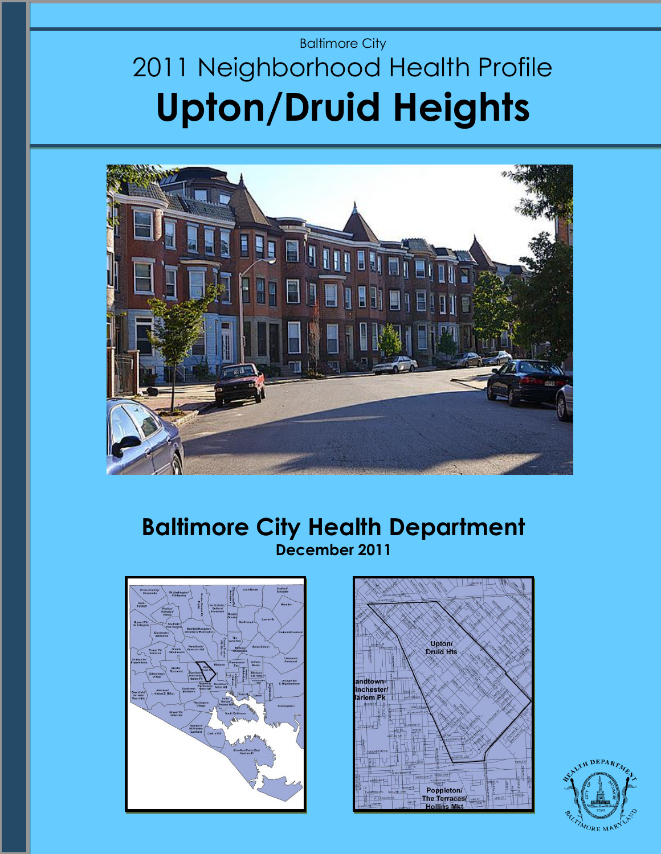# Baltimore City 2011 Neighborhood Health Profile **Upton/Druid Heights**



## **Baltimore City Health Department December 2011**





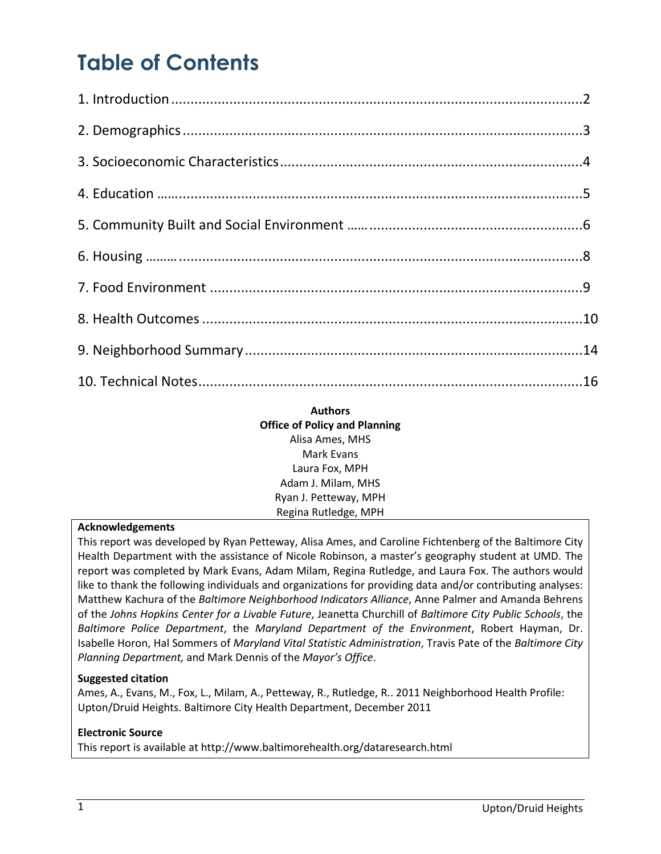# **Table of Contents**

#### **Authors Office of Policy and Planning** Alisa Ames, MHS Mark Evans Laura Fox, MPH Adam J. Milam, MHS Ryan J. Petteway, MPH Regina Rutledge, MPH

#### **Acknowledgements**

This report was developed by Ryan Petteway, Alisa Ames, and Caroline Fichtenberg of the Baltimore City Health Department with the assistance of Nicole Robinson, a master's geography student at UMD. The report was completed by Mark Evans, Adam Milam, Regina Rutledge, and Laura Fox. The authors would like to thank the following individuals and organizations for providing data and/or contributing analyses: Matthew Kachura of the *Baltimore Neighborhood Indicators Alliance*, Anne Palmer and Amanda Behrens of the *Johns Hopkins Center for a Livable Future*, Jeanetta Churchill of *Baltimore City Public Schools*, the *Baltimore Police Department*, the *Maryland Department of the Environment*, Robert Hayman, Dr. Isabelle Horon, Hal Sommers of *Maryland Vital Statistic Administration*, Travis Pate of the *Baltimore City Planning Department,* and Mark Dennis of the *Mayor's Office*.

#### **Suggested citation**

Ames, A., Evans, M., Fox, L., Milam, A., Petteway, R., Rutledge, R.. 2011 Neighborhood Health Profile: Upton/Druid Heights. Baltimore City Health Department, December 2011

#### **Electronic Source**

This report is available at http://www.baltimorehealth.org/dataresearch.html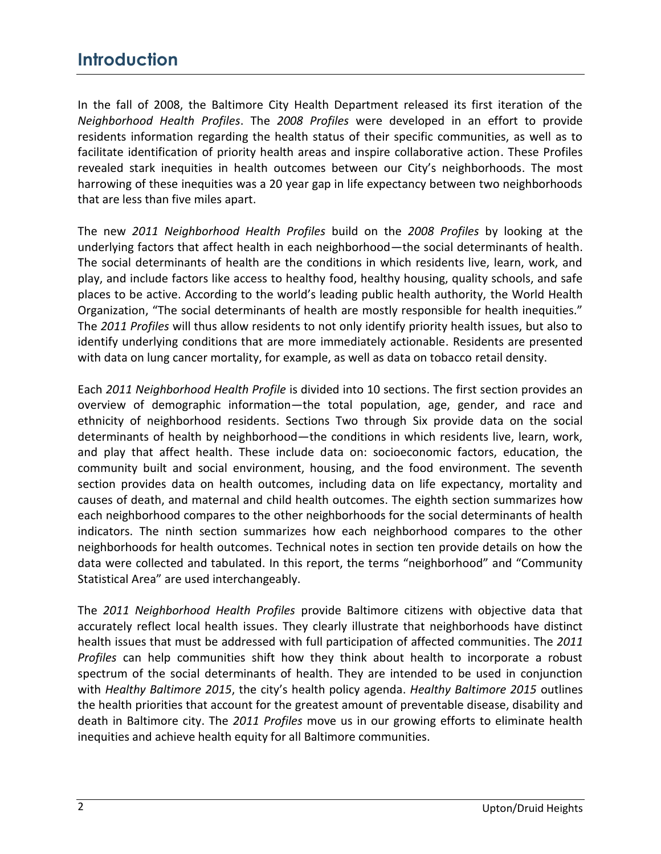## **Introduction**

In the fall of 2008, the Baltimore City Health Department released its first iteration of the *Neighborhood Health Profiles*. The *2008 Profiles* were developed in an effort to provide residents information regarding the health status of their specific communities, as well as to facilitate identification of priority health areas and inspire collaborative action. These Profiles revealed stark inequities in health outcomes between our City's neighborhoods. The most harrowing of these inequities was a 20 year gap in life expectancy between two neighborhoods that are less than five miles apart.

The new *2011 Neighborhood Health Profiles* build on the *2008 Profiles* by looking at the underlying factors that affect health in each neighborhood—the social determinants of health. The social determinants of health are the conditions in which residents live, learn, work, and play, and include factors like access to healthy food, healthy housing, quality schools, and safe places to be active. According to the world's leading public health authority, the World Health Organization, "The social determinants of health are mostly responsible for health inequities." The *2011 Profiles* will thus allow residents to not only identify priority health issues, but also to identify underlying conditions that are more immediately actionable. Residents are presented with data on lung cancer mortality, for example, as well as data on tobacco retail density.

Each *2011 Neighborhood Health Profile* is divided into 10 sections. The first section provides an overview of demographic information—the total population, age, gender, and race and ethnicity of neighborhood residents. Sections Two through Six provide data on the social determinants of health by neighborhood—the conditions in which residents live, learn, work, and play that affect health. These include data on: socioeconomic factors, education, the community built and social environment, housing, and the food environment. The seventh section provides data on health outcomes, including data on life expectancy, mortality and causes of death, and maternal and child health outcomes. The eighth section summarizes how each neighborhood compares to the other neighborhoods for the social determinants of health indicators. The ninth section summarizes how each neighborhood compares to the other neighborhoods for health outcomes. Technical notes in section ten provide details on how the data were collected and tabulated. In this report, the terms "neighborhood" and "Community Statistical Area" are used interchangeably.

The *2011 Neighborhood Health Profiles* provide Baltimore citizens with objective data that accurately reflect local health issues. They clearly illustrate that neighborhoods have distinct health issues that must be addressed with full participation of affected communities. The *2011 Profiles* can help communities shift how they think about health to incorporate a robust spectrum of the social determinants of health. They are intended to be used in conjunction with *Healthy Baltimore 2015*, the city's health policy agenda. *Healthy Baltimore 2015* outlines the health priorities that account for the greatest amount of preventable disease, disability and death in Baltimore city. The *2011 Profiles* move us in our growing efforts to eliminate health inequities and achieve health equity for all Baltimore communities.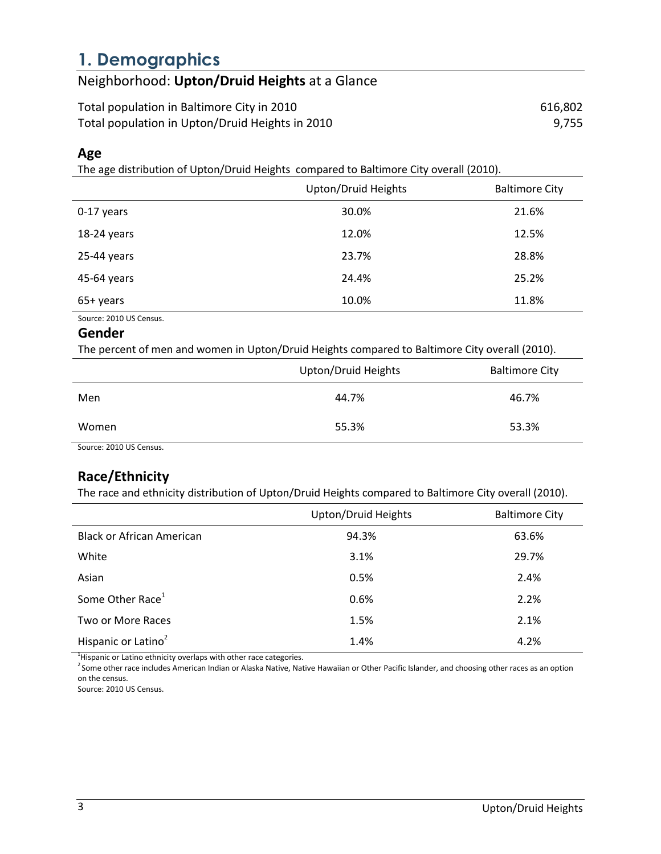## **1. Demographics**

## Neighborhood: **Upton/Druid Heights** at a Glance

Total population in Baltimore City in 2010 616,802 Total population in Upton/Druid Heights in 2010 **1998** 1997/1999 1997/755

### **Age**

The age distribution of Upton/Druid Heights compared to Baltimore City overall (2010).

|             | Upton/Druid Heights | <b>Baltimore City</b> |
|-------------|---------------------|-----------------------|
| 0-17 years  | 30.0%               | 21.6%                 |
| 18-24 years | 12.0%               | 12.5%                 |
| 25-44 years | 23.7%               | 28.8%                 |
| 45-64 years | 24.4%               | 25.2%                 |
| 65+ years   | 10.0%               | 11.8%                 |

Source: 2010 US Census.

#### **Gender**

The percent of men and women in Upton/Druid Heights compared to Baltimore City overall (2010).

|                                    | Upton/Druid Heights | <b>Baltimore City</b> |
|------------------------------------|---------------------|-----------------------|
| Men                                | 44.7%               | 46.7%                 |
| Women                              | 55.3%               | 53.3%                 |
| $\sim$ $\sim$ $\sim$ $\sim$ $\sim$ |                     |                       |

Source: 2010 US Census.

### **Race/Ethnicity**

The race and ethnicity distribution of Upton/Druid Heights compared to Baltimore City overall (2010).

|                                  | Upton/Druid Heights | <b>Baltimore City</b> |
|----------------------------------|---------------------|-----------------------|
| <b>Black or African American</b> | 94.3%               | 63.6%                 |
| White                            | 3.1%                | 29.7%                 |
| Asian                            | 0.5%                | 2.4%                  |
| Some Other Race <sup>1</sup>     | 0.6%                | 2.2%                  |
| Two or More Races                | 1.5%                | 2.1%                  |
| Hispanic or Latino <sup>2</sup>  | 1.4%                | 4.2%                  |

 $1$ Hispanic or Latino ethnicity overlaps with other race categories.

<sup>2</sup> Some other race includes American Indian or Alaska Native, Native Hawaiian or Other Pacific Islander, and choosing other races as an option on the census.

Source: 2010 US Census.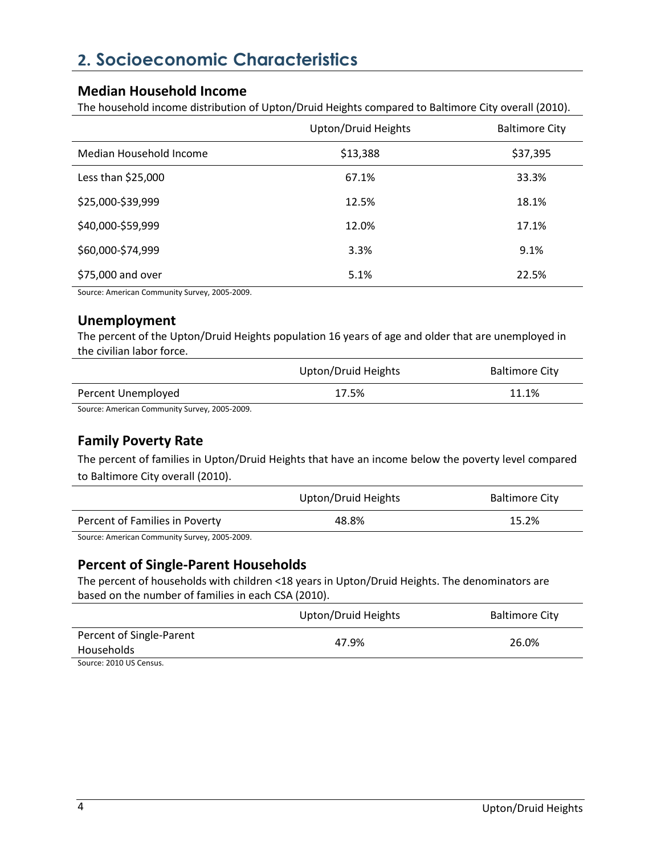## **2. Socioeconomic Characteristics**

#### **Median Household Income**

The household income distribution of Upton/Druid Heights compared to Baltimore City overall (2010).

|                         | Upton/Druid Heights | <b>Baltimore City</b> |
|-------------------------|---------------------|-----------------------|
| Median Household Income | \$13,388            | \$37,395              |
| Less than \$25,000      | 67.1%               | 33.3%                 |
| \$25,000-\$39,999       | 12.5%               | 18.1%                 |
| \$40,000-\$59,999       | 12.0%               | 17.1%                 |
| \$60,000-\$74,999       | 3.3%                | 9.1%                  |
| \$75,000 and over       | 5.1%                | 22.5%                 |

Source: American Community Survey, 2005-2009.

### **Unemployment**

The percent of the Upton/Druid Heights population 16 years of age and older that are unemployed in the civilian labor force.

|                    | Upton/Druid Heights | <b>Baltimore City</b> |
|--------------------|---------------------|-----------------------|
| Percent Unemployed | 17.5%               | 11.1%                 |

Source: American Community Survey, 2005-2009.

### **Family Poverty Rate**

The percent of families in Upton/Druid Heights that have an income below the poverty level compared to Baltimore City overall (2010).

|                                             | Upton/Druid Heights | <b>Baltimore City</b> |
|---------------------------------------------|---------------------|-----------------------|
| Percent of Families in Poverty              | 48.8%               | 15.2%                 |
| Course American Cammunity Current 2005 2000 |                     |                       |

Source: American Community Survey, 2005-2009.

#### **Percent of Single-Parent Households**

The percent of households with children <18 years in Upton/Druid Heights. The denominators are based on the number of families in each CSA (2010).

|                          | Upton/Druid Heights | <b>Baltimore City</b> |
|--------------------------|---------------------|-----------------------|
| Percent of Single-Parent | 47.9%               | 26.0%                 |
| Households               |                     |                       |
| Source: 2010 US Census.  |                     |                       |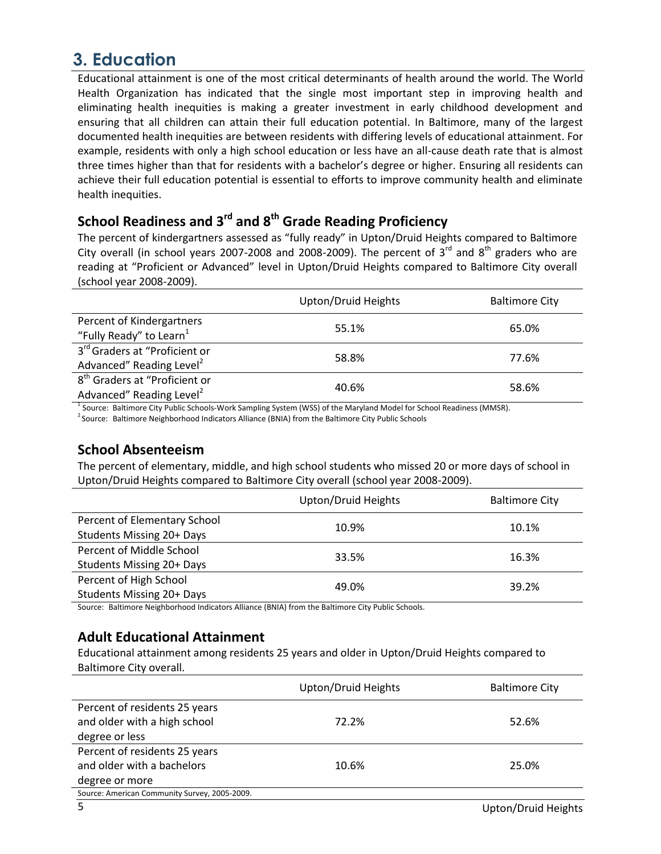## **3. Education**

Educational attainment is one of the most critical determinants of health around the world. The World Health Organization has indicated that the single most important step in improving health and eliminating health inequities is making a greater investment in early childhood development and ensuring that all children can attain their full education potential. In Baltimore, many of the largest documented health inequities are between residents with differing levels of educational attainment. For example, residents with only a high school education or less have an all-cause death rate that is almost three times higher than that for residents with a bachelor's degree or higher. Ensuring all residents can achieve their full education potential is essential to efforts to improve community health and eliminate health inequities.

## **School Readiness and 3rd and 8th Grade Reading Proficiency**

The percent of kindergartners assessed as "fully ready" in Upton/Druid Heights compared to Baltimore City overall (in school years 2007-2008 and 2008-2009). The percent of 3<sup>rd</sup> and 8<sup>th</sup> graders who are reading at "Proficient or Advanced" level in Upton/Druid Heights compared to Baltimore City overall (school year 2008-2009).

|                                                                                   | Upton/Druid Heights | <b>Baltimore City</b> |
|-----------------------------------------------------------------------------------|---------------------|-----------------------|
| Percent of Kindergartners<br>"Fully Ready" to Learn1                              | 55.1%               | 65.0%                 |
| 3rd Graders at "Proficient or<br>Advanced" Reading Level <sup>2</sup>             | 58.8%               | 77.6%                 |
| 8 <sup>th</sup> Graders at "Proficient or<br>Advanced" Reading Level <sup>2</sup> | 40.6%               | 58.6%                 |

<sup>1</sup> Source: Baltimore City Public Schools-Work Sampling System (WSS) of the Maryland Model for School Readiness (MMSR).

<sup>2</sup> Source: Baltimore Neighborhood Indicators Alliance (BNIA) from the Baltimore City Public Schools

### **School Absenteeism**

The percent of elementary, middle, and high school students who missed 20 or more days of school in Upton/Druid Heights compared to Baltimore City overall (school year 2008-2009).

|                              | Upton/Druid Heights | <b>Baltimore City</b> |
|------------------------------|---------------------|-----------------------|
| Percent of Elementary School | 10.9%               | 10.1%                 |
| Students Missing 20+ Days    |                     |                       |
| Percent of Middle School     | 33.5%               | 16.3%                 |
| Students Missing 20+ Days    |                     |                       |
| Percent of High School       | 49.0%               | 39.2%                 |
| Students Missing 20+ Days    |                     |                       |

Source: Baltimore Neighborhood Indicators Alliance (BNIA) from the Baltimore City Public Schools.

### **Adult Educational Attainment**

Educational attainment among residents 25 years and older in Upton/Druid Heights compared to Baltimore City overall.

|                                               | Upton/Druid Heights | <b>Baltimore City</b> |
|-----------------------------------------------|---------------------|-----------------------|
| Percent of residents 25 years                 |                     |                       |
| and older with a high school                  | 72.2%               | 52.6%                 |
| degree or less                                |                     |                       |
| Percent of residents 25 years                 |                     |                       |
| and older with a bachelors                    | 10.6%               | 25.0%                 |
| degree or more                                |                     |                       |
| Source: American Community Survey, 2005-2009. |                     |                       |
|                                               |                     |                       |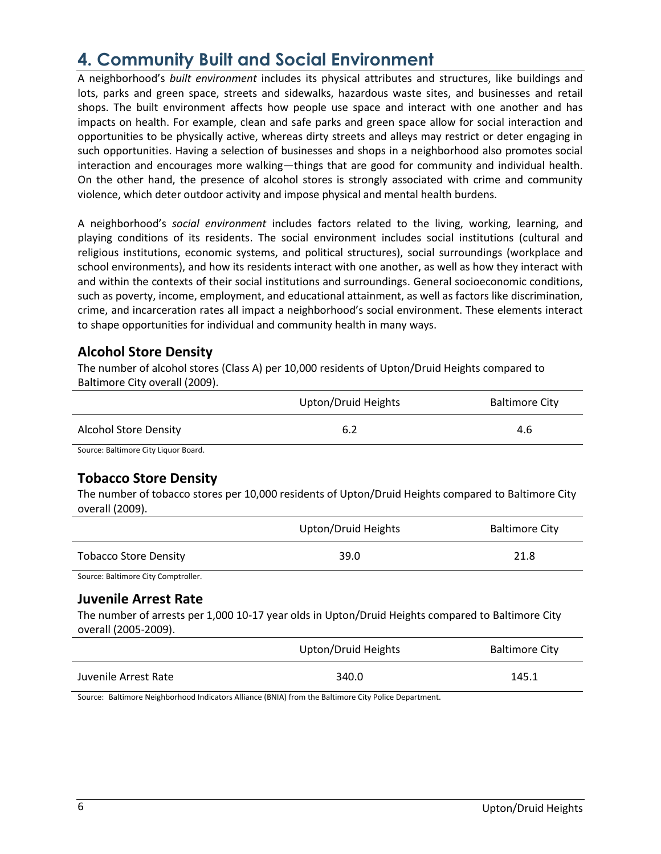## **4. Community Built and Social Environment**

A neighborhood's *built environment* includes its physical attributes and structures, like buildings and lots, parks and green space, streets and sidewalks, hazardous waste sites, and businesses and retail shops. The built environment affects how people use space and interact with one another and has impacts on health. For example, clean and safe parks and green space allow for social interaction and opportunities to be physically active, whereas dirty streets and alleys may restrict or deter engaging in such opportunities. Having a selection of businesses and shops in a neighborhood also promotes social interaction and encourages more walking—things that are good for community and individual health. On the other hand, the presence of alcohol stores is strongly associated with crime and community violence, which deter outdoor activity and impose physical and mental health burdens.

A neighborhood's *social environment* includes factors related to the living, working, learning, and playing conditions of its residents. The social environment includes social institutions (cultural and religious institutions, economic systems, and political structures), social surroundings (workplace and school environments), and how its residents interact with one another, as well as how they interact with and within the contexts of their social institutions and surroundings. General socioeconomic conditions, such as poverty, income, employment, and educational attainment, as well as factors like discrimination, crime, and incarceration rates all impact a neighborhood's social environment. These elements interact to shape opportunities for individual and community health in many ways.

### **Alcohol Store Density**

The number of alcohol stores (Class A) per 10,000 residents of Upton/Druid Heights compared to Baltimore City overall (2009).

|                                           | Upton/Druid Heights | <b>Baltimore City</b> |
|-------------------------------------------|---------------------|-----------------------|
| <b>Alcohol Store Density</b>              | 6.2                 | 4.6                   |
| Carriera: Daltiniana Citrillianian Dagoni |                     |                       |

Source: Baltimore City Liquor Board.

### **Tobacco Store Density**

The number of tobacco stores per 10,000 residents of Upton/Druid Heights compared to Baltimore City overall (2009).

|                              | Upton/Druid Heights | <b>Baltimore City</b> |
|------------------------------|---------------------|-----------------------|
| <b>Tobacco Store Density</b> | 39.0                | 21.8                  |

Source: Baltimore City Comptroller.

#### **Juvenile Arrest Rate**

The number of arrests per 1,000 10-17 year olds in Upton/Druid Heights compared to Baltimore City overall (2005-2009).

|                      | Upton/Druid Heights | <b>Baltimore City</b> |
|----------------------|---------------------|-----------------------|
| Juvenile Arrest Rate | 340.0               | 145.1                 |

Source: Baltimore Neighborhood Indicators Alliance (BNIA) from the Baltimore City Police Department.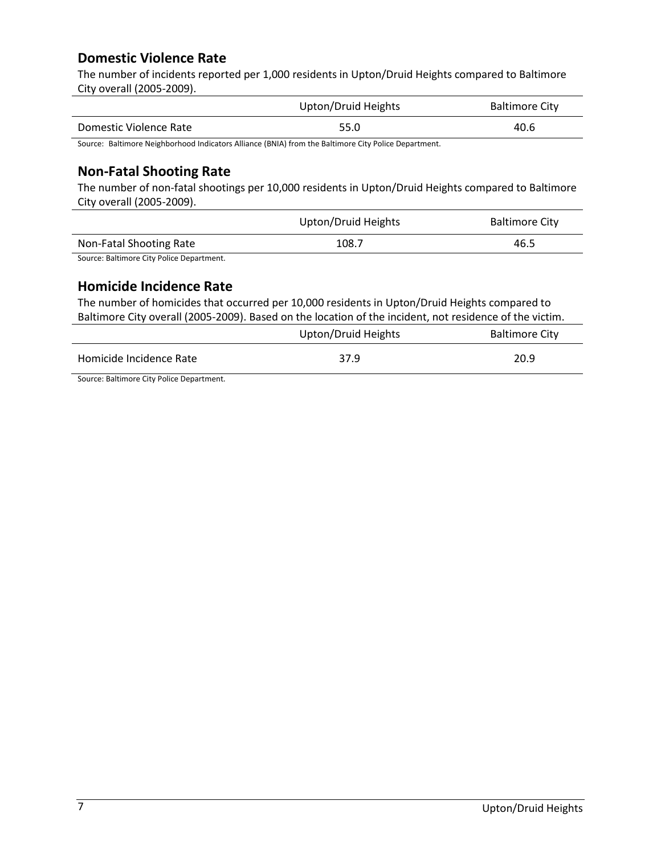### **Domestic Violence Rate**

The number of incidents reported per 1,000 residents in Upton/Druid Heights compared to Baltimore City overall (2005-2009).

|                        | Upton/Druid Heights | <b>Baltimore City</b> |
|------------------------|---------------------|-----------------------|
| Domestic Violence Rate | 55.0                | 40.6                  |

Source: Baltimore Neighborhood Indicators Alliance (BNIA) from the Baltimore City Police Department.

### **Non-Fatal Shooting Rate**

The number of non-fatal shootings per 10,000 residents in Upton/Druid Heights compared to Baltimore City overall (2005-2009).

|                         | Upton/Druid Heights | <b>Baltimore City</b> |
|-------------------------|---------------------|-----------------------|
| Non-Fatal Shooting Rate | 108.7               | 46.5                  |
| $  -$                   |                     |                       |

Source: Baltimore City Police Department.

### **Homicide Incidence Rate**

The number of homicides that occurred per 10,000 residents in Upton/Druid Heights compared to Baltimore City overall (2005-2009). Based on the location of the incident, not residence of the victim.

|                         | Upton/Druid Heights | <b>Baltimore City</b> |
|-------------------------|---------------------|-----------------------|
| Homicide Incidence Rate | 37.9                | 20.9                  |

Source: Baltimore City Police Department.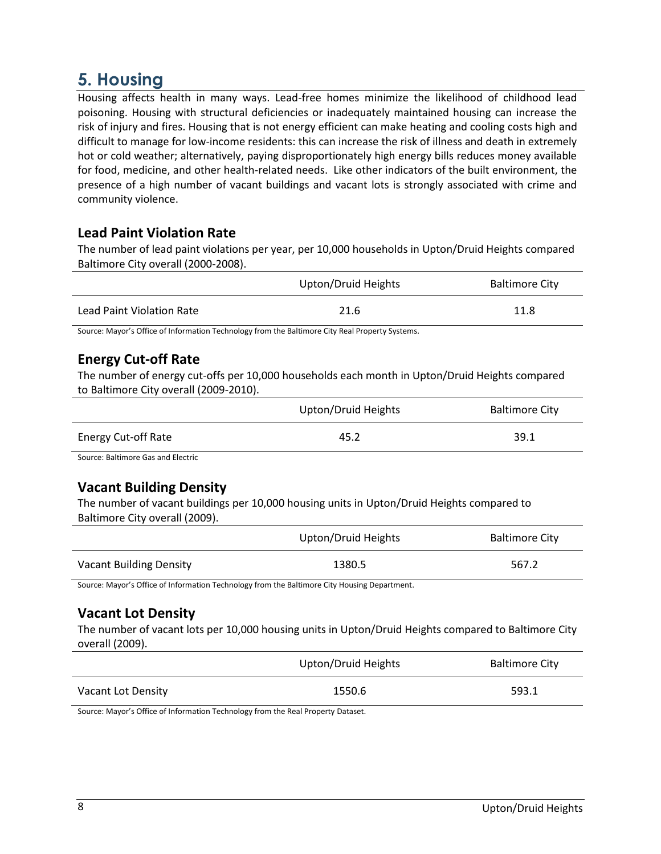## **5. Housing**

Housing affects health in many ways. Lead-free homes minimize the likelihood of childhood lead poisoning. Housing with structural deficiencies or inadequately maintained housing can increase the risk of injury and fires. Housing that is not energy efficient can make heating and cooling costs high and difficult to manage for low-income residents: this can increase the risk of illness and death in extremely hot or cold weather; alternatively, paying disproportionately high energy bills reduces money available for food, medicine, and other health-related needs. Like other indicators of the built environment, the presence of a high number of vacant buildings and vacant lots is strongly associated with crime and community violence.

### **Lead Paint Violation Rate**

The number of lead paint violations per year, per 10,000 households in Upton/Druid Heights compared Baltimore City overall (2000-2008).

|                           | Upton/Druid Heights | <b>Baltimore City</b> |
|---------------------------|---------------------|-----------------------|
| Lead Paint Violation Rate | 21.6                | 11.8                  |

Source: Mayor's Office of Information Technology from the Baltimore City Real Property Systems.

### **Energy Cut-off Rate**

The number of energy cut-offs per 10,000 households each month in Upton/Druid Heights compared to Baltimore City overall (2009-2010).

|                                   | Upton/Druid Heights | <b>Baltimore City</b> |
|-----------------------------------|---------------------|-----------------------|
| <b>Energy Cut-off Rate</b>        | 45.2                | 39.1                  |
| Course Daltimore Cas and Flooting |                     |                       |

Source: Baltimore Gas and Electric

### **Vacant Building Density**

The number of vacant buildings per 10,000 housing units in Upton/Druid Heights compared to Baltimore City overall (2009).

|                         | Upton/Druid Heights | <b>Baltimore City</b> |
|-------------------------|---------------------|-----------------------|
| Vacant Building Density | 1380.5              | 567.2                 |

Source: Mayor's Office of Information Technology from the Baltimore City Housing Department.

### **Vacant Lot Density**

The number of vacant lots per 10,000 housing units in Upton/Druid Heights compared to Baltimore City overall (2009).

|                    | Upton/Druid Heights | <b>Baltimore City</b> |
|--------------------|---------------------|-----------------------|
| Vacant Lot Density | 1550.6              | 593.1                 |

Source: Mayor's Office of Information Technology from the Real Property Dataset.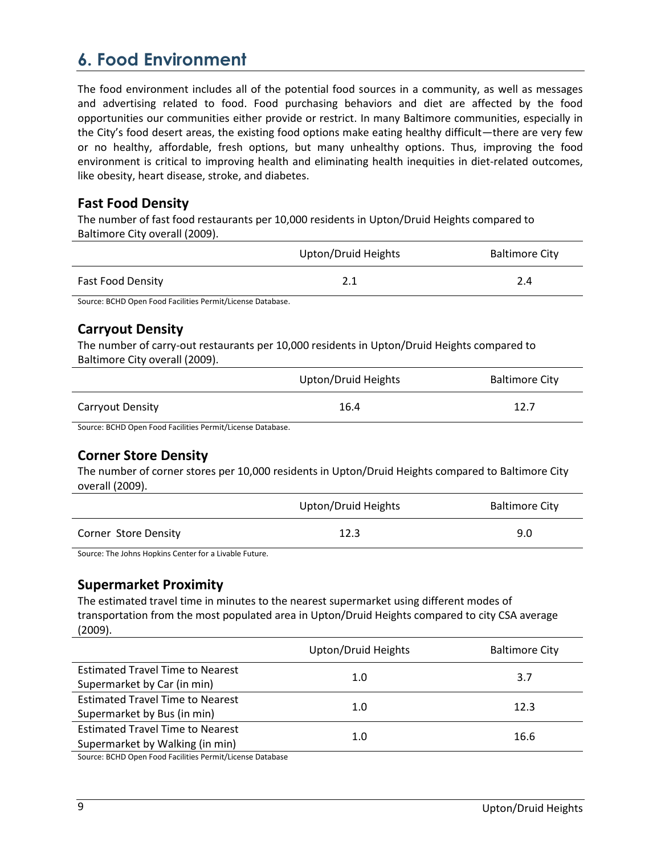## **6. Food Environment**

The food environment includes all of the potential food sources in a community, as well as messages and advertising related to food. Food purchasing behaviors and diet are affected by the food opportunities our communities either provide or restrict. In many Baltimore communities, especially in the City's food desert areas, the existing food options make eating healthy difficult—there are very few or no healthy, affordable, fresh options, but many unhealthy options. Thus, improving the food environment is critical to improving health and eliminating health inequities in diet-related outcomes, like obesity, heart disease, stroke, and diabetes.

### **Fast Food Density**

The number of fast food restaurants per 10,000 residents in Upton/Druid Heights compared to Baltimore City overall (2009).

|                          | Upton/Druid Heights | <b>Baltimore City</b> |
|--------------------------|---------------------|-----------------------|
| <b>Fast Food Density</b> | 2.1                 | 2.4                   |

Source: BCHD Open Food Facilities Permit/License Database.

### **Carryout Density**

The number of carry-out restaurants per 10,000 residents in Upton/Druid Heights compared to Baltimore City overall (2009).

|                         | Upton/Druid Heights | <b>Baltimore City</b> |
|-------------------------|---------------------|-----------------------|
| <b>Carryout Density</b> | 16.4                | 12.7                  |

Source: BCHD Open Food Facilities Permit/License Database.

### **Corner Store Density**

The number of corner stores per 10,000 residents in Upton/Druid Heights compared to Baltimore City overall (2009).

|                             | Upton/Druid Heights | <b>Baltimore City</b> |
|-----------------------------|---------------------|-----------------------|
| <b>Corner Store Density</b> | 12.3                | 9.0                   |

Source: The Johns Hopkins Center for a Livable Future.

### **Supermarket Proximity**

The estimated travel time in minutes to the nearest supermarket using different modes of transportation from the most populated area in Upton/Druid Heights compared to city CSA average (2009).

|                                         | Upton/Druid Heights | <b>Baltimore City</b> |
|-----------------------------------------|---------------------|-----------------------|
| <b>Estimated Travel Time to Nearest</b> |                     |                       |
| Supermarket by Car (in min)             | 1.0                 | 3.7                   |
| <b>Estimated Travel Time to Nearest</b> | 1.0                 | 12.3                  |
| Supermarket by Bus (in min)             |                     |                       |
| <b>Estimated Travel Time to Nearest</b> | 1.0                 | 16.6                  |
| Supermarket by Walking (in min)         |                     |                       |

Source: BCHD Open Food Facilities Permit/License Database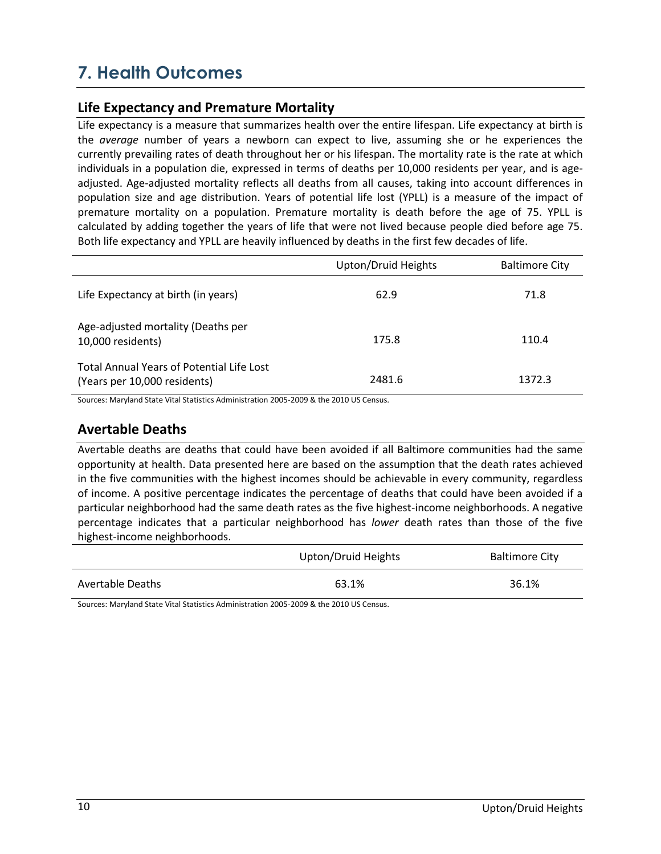## **7. Health Outcomes**

### **Life Expectancy and Premature Mortality**

Life expectancy is a measure that summarizes health over the entire lifespan. Life expectancy at birth is the *average* number of years a newborn can expect to live, assuming she or he experiences the currently prevailing rates of death throughout her or his lifespan. The mortality rate is the rate at which individuals in a population die, expressed in terms of deaths per 10,000 residents per year, and is ageadjusted. Age-adjusted mortality reflects all deaths from all causes, taking into account differences in population size and age distribution. Years of potential life lost (YPLL) is a measure of the impact of premature mortality on a population. Premature mortality is death before the age of 75. YPLL is calculated by adding together the years of life that were not lived because people died before age 75. Both life expectancy and YPLL are heavily influenced by deaths in the first few decades of life.

|                                                                                  | Upton/Druid Heights | <b>Baltimore City</b> |
|----------------------------------------------------------------------------------|---------------------|-----------------------|
| Life Expectancy at birth (in years)                                              | 62.9                | 71.8                  |
| Age-adjusted mortality (Deaths per<br>10,000 residents)                          | 175.8               | 110.4                 |
| <b>Total Annual Years of Potential Life Lost</b><br>(Years per 10,000 residents) | 2481.6              | 1372.3                |

Sources: Maryland State Vital Statistics Administration 2005-2009 & the 2010 US Census.

### **Avertable Deaths**

Avertable deaths are deaths that could have been avoided if all Baltimore communities had the same opportunity at health. Data presented here are based on the assumption that the death rates achieved in the five communities with the highest incomes should be achievable in every community, regardless of income. A positive percentage indicates the percentage of deaths that could have been avoided if a particular neighborhood had the same death rates as the five highest-income neighborhoods. A negative percentage indicates that a particular neighborhood has *lower* death rates than those of the five highest-income neighborhoods.

|                         | Upton/Druid Heights | <b>Baltimore City</b> |
|-------------------------|---------------------|-----------------------|
| <b>Avertable Deaths</b> | 63.1%               | 36.1%                 |

Sources: Maryland State Vital Statistics Administration 2005-2009 & the 2010 US Census.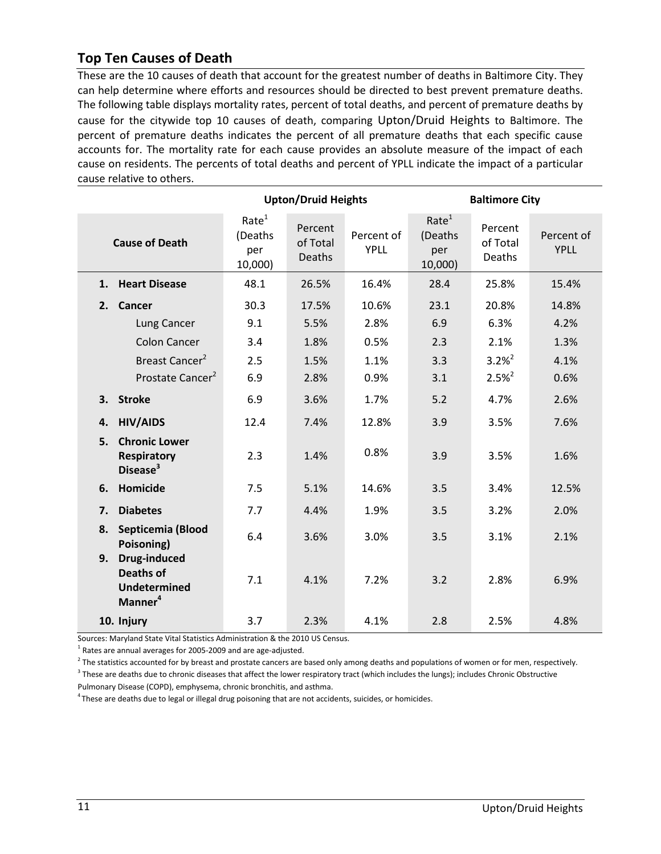### **Top Ten Causes of Death**

These are the 10 causes of death that account for the greatest number of deaths in Baltimore City. They can help determine where efforts and resources should be directed to best prevent premature deaths. The following table displays mortality rates, percent of total deaths, and percent of premature deaths by cause for the citywide top 10 causes of death, comparing Upton/Druid Heights to Baltimore. The percent of premature deaths indicates the percent of all premature deaths that each specific cause accounts for. The mortality rate for each cause provides an absolute measure of the impact of each cause on residents. The percents of total deaths and percent of YPLL indicate the impact of a particular cause relative to others.

|                                                                                             |                                                | <b>Upton/Druid Heights</b>           |                           |                                                | <b>Baltimore City</b>         |                           |
|---------------------------------------------------------------------------------------------|------------------------------------------------|--------------------------------------|---------------------------|------------------------------------------------|-------------------------------|---------------------------|
| <b>Cause of Death</b>                                                                       | Rate <sup>1</sup><br>(Deaths<br>per<br>10,000) | Percent<br>of Total<br><b>Deaths</b> | Percent of<br><b>YPLL</b> | Rate <sup>1</sup><br>(Deaths<br>per<br>10,000) | Percent<br>of Total<br>Deaths | Percent of<br><b>YPLL</b> |
| <b>Heart Disease</b><br>1.                                                                  | 48.1                                           | 26.5%                                | 16.4%                     | 28.4                                           | 25.8%                         | 15.4%                     |
| 2.<br><b>Cancer</b>                                                                         | 30.3                                           | 17.5%                                | 10.6%                     | 23.1                                           | 20.8%                         | 14.8%                     |
| Lung Cancer                                                                                 | 9.1                                            | 5.5%                                 | 2.8%                      | 6.9                                            | 6.3%                          | 4.2%                      |
| <b>Colon Cancer</b>                                                                         | 3.4                                            | 1.8%                                 | 0.5%                      | 2.3                                            | 2.1%                          | 1.3%                      |
| Breast Cancer <sup>2</sup>                                                                  | 2.5                                            | 1.5%                                 | 1.1%                      | 3.3                                            | $3.2%^{2}$                    | 4.1%                      |
| Prostate Cancer <sup>2</sup>                                                                | 6.9                                            | 2.8%                                 | 0.9%                      | 3.1                                            | $2.5%^{2}$                    | 0.6%                      |
| 3. Stroke                                                                                   | 6.9                                            | 3.6%                                 | 1.7%                      | 5.2                                            | 4.7%                          | 2.6%                      |
| <b>HIV/AIDS</b><br>4.                                                                       | 12.4                                           | 7.4%                                 | 12.8%                     | 3.9                                            | 3.5%                          | 7.6%                      |
| <b>Chronic Lower</b><br>5.<br><b>Respiratory</b><br>Disease <sup>3</sup>                    | 2.3                                            | 1.4%                                 | 0.8%                      | 3.9                                            | 3.5%                          | 1.6%                      |
| Homicide<br>6.                                                                              | 7.5                                            | 5.1%                                 | 14.6%                     | 3.5                                            | 3.4%                          | 12.5%                     |
| <b>Diabetes</b><br>7.                                                                       | 7.7                                            | 4.4%                                 | 1.9%                      | 3.5                                            | 3.2%                          | 2.0%                      |
| Septicemia (Blood<br>8.<br>Poisoning)                                                       | 6.4                                            | 3.6%                                 | 3.0%                      | 3.5                                            | 3.1%                          | 2.1%                      |
| <b>Drug-induced</b><br>9.<br><b>Deaths of</b><br><b>Undetermined</b><br>Manner <sup>4</sup> | 7.1                                            | 4.1%                                 | 7.2%                      | 3.2                                            | 2.8%                          | 6.9%                      |
| 10. Injury                                                                                  | 3.7                                            | 2.3%                                 | 4.1%                      | 2.8                                            | 2.5%                          | 4.8%                      |

Sources: Maryland State Vital Statistics Administration & the 2010 US Census.

 $^{1}$  Rates are annual averages for 2005-2009 and are age-adjusted.

<sup>2</sup> The statistics accounted for by breast and prostate cancers are based only among deaths and populations of women or for men, respectively.  $3$  These are deaths due to chronic diseases that affect the lower respiratory tract (which includes the lungs); includes Chronic Obstructive

Pulmonary Disease (COPD), emphysema, chronic bronchitis, and asthma.

<sup>4</sup> These are deaths due to legal or illegal drug poisoning that are not accidents, suicides, or homicides.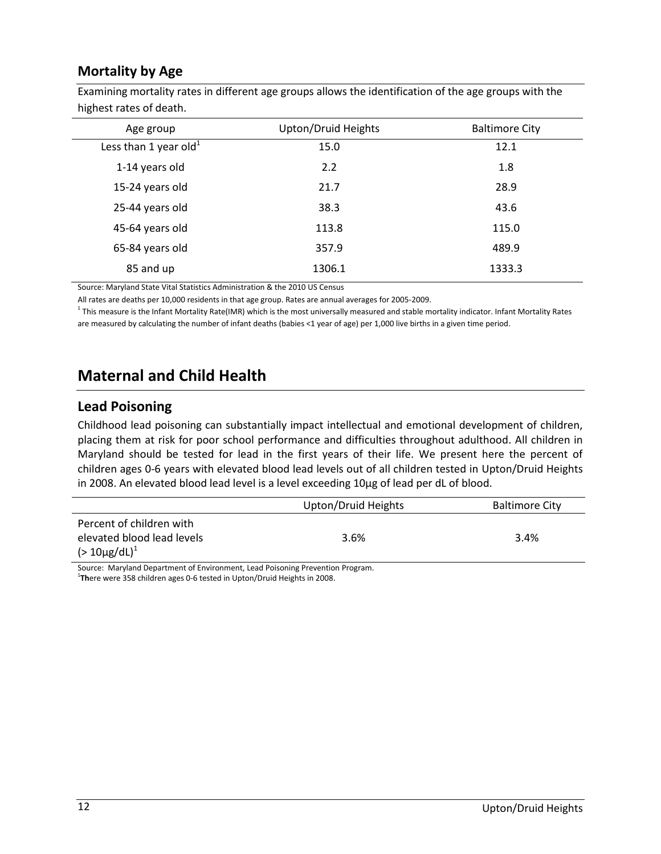### **Mortality by Age**

| <b>ILIZIICSLIALES UI UCALII.</b>  |                     |                       |
|-----------------------------------|---------------------|-----------------------|
| Age group                         | Upton/Druid Heights | <b>Baltimore City</b> |
| Less than 1 year old <sup>1</sup> | 15.0                | 12.1                  |
| 1-14 years old                    | 2.2                 | 1.8                   |
| 15-24 years old                   | 21.7                | 28.9                  |
| 25-44 years old                   | 38.3                | 43.6                  |
| 45-64 years old                   | 113.8               | 115.0                 |
| 65-84 years old                   | 357.9               | 489.9                 |
| 85 and up                         | 1306.1              | 1333.3                |
|                                   |                     |                       |

Examining mortality rates in different age groups allows the identification of the age groups with the highest rates of death.

Source: Maryland State Vital Statistics Administration & the 2010 US Census

All rates are deaths per 10,000 residents in that age group. Rates are annual averages for 2005-2009.

<sup>1</sup> This measure is the Infant Mortality Rate(IMR) which is the most universally measured and stable mortality indicator. Infant Mortality Rates are measured by calculating the number of infant deaths (babies <1 year of age) per 1,000 live births in a given time period.

### **Maternal and Child Health**

#### **Lead Poisoning**

Childhood lead poisoning can substantially impact intellectual and emotional development of children, placing them at risk for poor school performance and difficulties throughout adulthood. All children in Maryland should be tested for lead in the first years of their life. We present here the percent of children ages 0-6 years with elevated blood lead levels out of all children tested in Upton/Druid Heights in 2008. An elevated blood lead level is a level exceeding 10µg of lead per dL of blood.

|                            | Upton/Druid Heights | <b>Baltimore City</b> |
|----------------------------|---------------------|-----------------------|
| Percent of children with   |                     |                       |
| elevated blood lead levels | 3.6%                | 3.4%                  |
| $(>10 \mu g/dL)^{1}$       |                     |                       |
|                            | .<br>____           |                       |

Source: Maryland Department of Environment, Lead Poisoning Prevention Program. 1 **Th**ere were 358 children ages 0-6 tested in Upton/Druid Heights in 2008.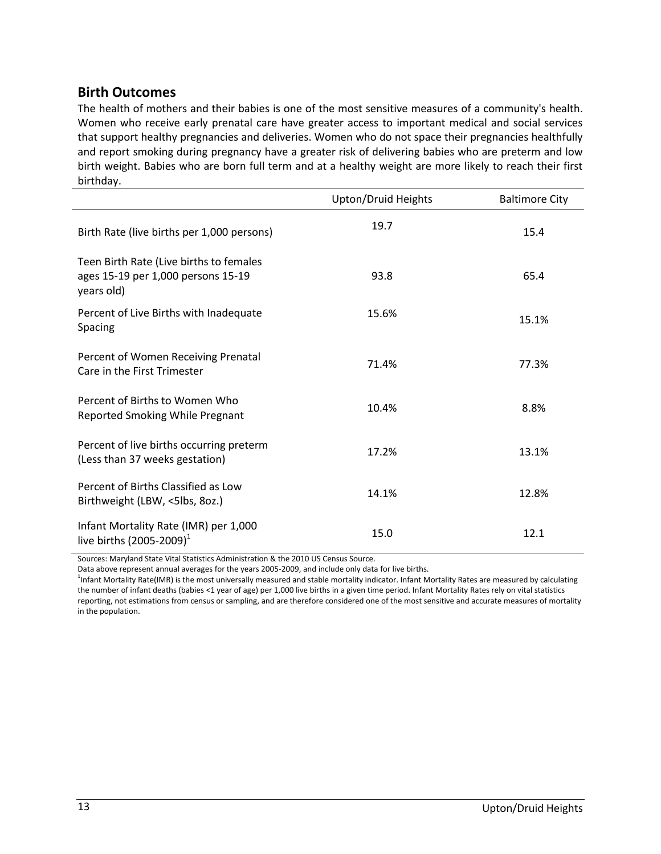### **Birth Outcomes**

The health of mothers and their babies is one of the most sensitive measures of a community's health. Women who receive early prenatal care have greater access to important medical and social services that support healthy pregnancies and deliveries. Women who do not space their pregnancies healthfully and report smoking during pregnancy have a greater risk of delivering babies who are preterm and low birth weight. Babies who are born full term and at a healthy weight are more likely to reach their first birthday.

|                                                                                             | Upton/Druid Heights | <b>Baltimore City</b> |
|---------------------------------------------------------------------------------------------|---------------------|-----------------------|
| Birth Rate (live births per 1,000 persons)                                                  | 19.7                | 15.4                  |
| Teen Birth Rate (Live births to females<br>ages 15-19 per 1,000 persons 15-19<br>years old) | 93.8                | 65.4                  |
| Percent of Live Births with Inadequate<br>Spacing                                           | 15.6%               | 15.1%                 |
| Percent of Women Receiving Prenatal<br>Care in the First Trimester                          | 71.4%               | 77.3%                 |
| Percent of Births to Women Who<br>Reported Smoking While Pregnant                           | 10.4%               | 8.8%                  |
| Percent of live births occurring preterm<br>(Less than 37 weeks gestation)                  | 17.2%               | 13.1%                 |
| Percent of Births Classified as Low<br>Birthweight (LBW, <5lbs, 8oz.)                       | 14.1%               | 12.8%                 |
| Infant Mortality Rate (IMR) per 1,000<br>live births $(2005 - 2009)^{1}$                    | 15.0                | 12.1                  |

Sources: Maryland State Vital Statistics Administration & the 2010 US Census Source.

Data above represent annual averages for the years 2005-2009, and include only data for live births.

<sup>1</sup>Infant Mortality Rate(IMR) is the most universally measured and stable mortality indicator. Infant Mortality Rates are measured by calculating the number of infant deaths (babies <1 year of age) per 1,000 live births in a given time period. Infant Mortality Rates rely on vital statistics reporting, not estimations from census or sampling, and are therefore considered one of the most sensitive and accurate measures of mortality in the population.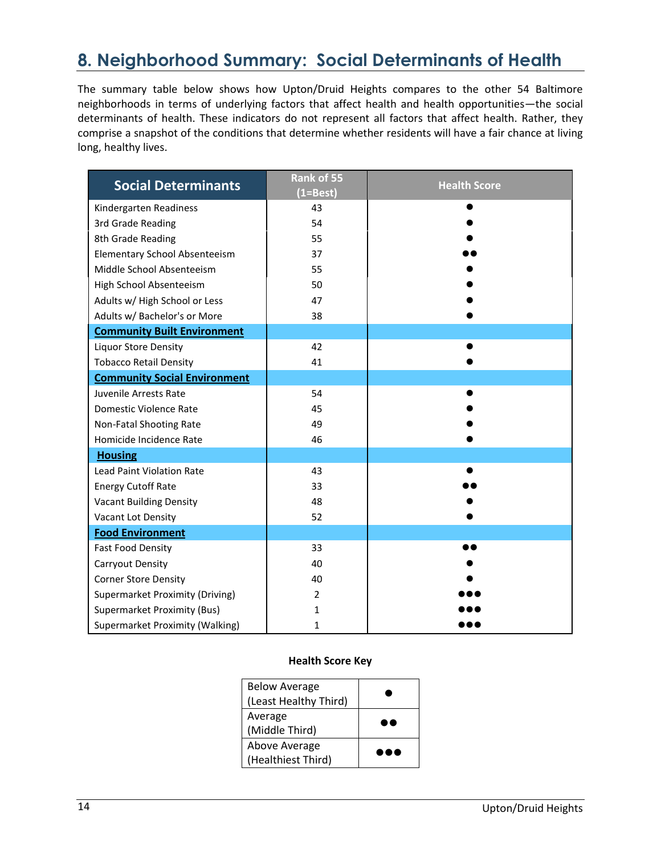## **8. Neighborhood Summary: Social Determinants of Health**

The summary table below shows how Upton/Druid Heights compares to the other 54 Baltimore neighborhoods in terms of underlying factors that affect health and health opportunities—the social determinants of health. These indicators do not represent all factors that affect health. Rather, they comprise a snapshot of the conditions that determine whether residents will have a fair chance at living long, healthy lives.

| <b>Social Determinants</b>           | Rank of 55<br>$(1=Best)$ | <b>Health Score</b> |
|--------------------------------------|--------------------------|---------------------|
| Kindergarten Readiness               | 43                       |                     |
| 3rd Grade Reading                    | 54                       |                     |
| 8th Grade Reading                    | 55                       |                     |
| <b>Elementary School Absenteeism</b> | 37                       |                     |
| Middle School Absenteeism            | 55                       |                     |
| High School Absenteeism              | 50                       |                     |
| Adults w/ High School or Less        | 47                       |                     |
| Adults w/ Bachelor's or More         | 38                       |                     |
| <b>Community Built Environment</b>   |                          |                     |
| <b>Liquor Store Density</b>          | 42                       |                     |
| <b>Tobacco Retail Density</b>        | 41                       |                     |
| <b>Community Social Environment</b>  |                          |                     |
| Juvenile Arrests Rate                | 54                       |                     |
| Domestic Violence Rate               | 45                       |                     |
| Non-Fatal Shooting Rate              | 49                       |                     |
| Homicide Incidence Rate              | 46                       |                     |
| <b>Housing</b>                       |                          |                     |
| <b>Lead Paint Violation Rate</b>     | 43                       |                     |
| <b>Energy Cutoff Rate</b>            | 33                       |                     |
| <b>Vacant Building Density</b>       | 48                       |                     |
| Vacant Lot Density                   | 52                       |                     |
| <b>Food Environment</b>              |                          |                     |
| <b>Fast Food Density</b>             | 33                       |                     |
| Carryout Density                     | 40                       |                     |
| <b>Corner Store Density</b>          | 40                       |                     |
| Supermarket Proximity (Driving)      | $\overline{2}$           |                     |
| <b>Supermarket Proximity (Bus)</b>   | 1                        |                     |
| Supermarket Proximity (Walking)      | $\mathbf{1}$             |                     |

#### **Health Score Key**

| <b>Below Average</b>  |                           |
|-----------------------|---------------------------|
| (Least Healthy Third) |                           |
| Average               | ۰                         |
| (Middle Third)        | ю                         |
| Above Average         |                           |
| (Healthiest Third)    | $\bullet$ $\bullet$<br>◝● |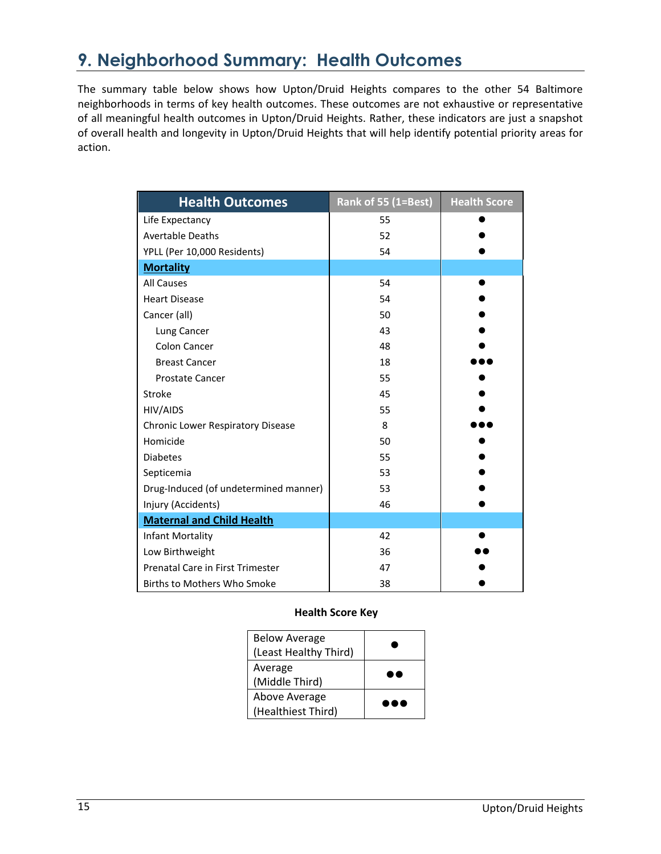## **9. Neighborhood Summary: Health Outcomes**

The summary table below shows how Upton/Druid Heights compares to the other 54 Baltimore neighborhoods in terms of key health outcomes. These outcomes are not exhaustive or representative of all meaningful health outcomes in Upton/Druid Heights. Rather, these indicators are just a snapshot of overall health and longevity in Upton/Druid Heights that will help identify potential priority areas for action.

| <b>Health Outcomes</b>                  | Rank of 55 (1=Best) | <b>Health Score</b> |
|-----------------------------------------|---------------------|---------------------|
| Life Expectancy                         | 55                  |                     |
| <b>Avertable Deaths</b>                 | 52                  |                     |
| YPLL (Per 10,000 Residents)             | 54                  |                     |
| <b>Mortality</b>                        |                     |                     |
| <b>All Causes</b>                       | 54                  |                     |
| <b>Heart Disease</b>                    | 54                  |                     |
| Cancer (all)                            | 50                  |                     |
| Lung Cancer                             | 43                  |                     |
| <b>Colon Cancer</b>                     | 48                  |                     |
| <b>Breast Cancer</b>                    | 18                  |                     |
| <b>Prostate Cancer</b>                  | 55                  |                     |
| Stroke                                  | 45                  |                     |
| HIV/AIDS                                | 55                  |                     |
| Chronic Lower Respiratory Disease       | 8                   |                     |
| Homicide                                | 50                  |                     |
| <b>Diabetes</b>                         | 55                  |                     |
| Septicemia                              | 53                  |                     |
| Drug-Induced (of undetermined manner)   | 53                  |                     |
| Injury (Accidents)                      | 46                  |                     |
| <b>Maternal and Child Health</b>        |                     |                     |
| Infant Mortality                        | 42                  |                     |
| Low Birthweight                         | 36                  |                     |
| <b>Prenatal Care in First Trimester</b> | 47                  |                     |
| <b>Births to Mothers Who Smoke</b>      | 38                  |                     |

#### **Health Score Key**

| <b>Below Average</b>  |  |
|-----------------------|--|
| (Least Healthy Third) |  |
| Average               |  |
| (Middle Third)        |  |
| Above Average         |  |
| (Healthiest Third)    |  |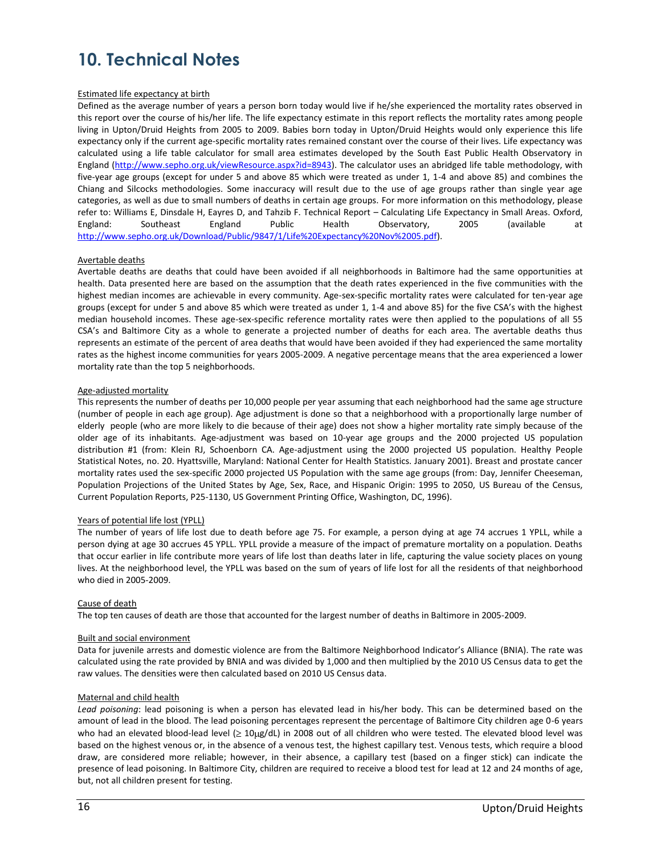## **10. Technical Notes**

#### Estimated life expectancy at birth

Defined as the average number of years a person born today would live if he/she experienced the mortality rates observed in this report over the course of his/her life. The life expectancy estimate in this report reflects the mortality rates among people living in Upton/Druid Heights from 2005 to 2009. Babies born today in Upton/Druid Heights would only experience this life expectancy only if the current age-specific mortality rates remained constant over the course of their lives. Life expectancy was calculated using a life table calculator for small area estimates developed by the South East Public Health Observatory in England [\(http://www.sepho.org.uk/viewResource.aspx?id=8943\)](http://www.sepho.org.uk/viewResource.aspx?id=8943). The calculator uses an abridged life table methodology, with five-year age groups (except for under 5 and above 85 which were treated as under 1, 1-4 and above 85) and combines the Chiang and Silcocks methodologies. Some inaccuracy will result due to the use of age groups rather than single year age categories, as well as due to small numbers of deaths in certain age groups. For more information on this methodology, please refer to: Williams E, Dinsdale H, Eayres D, and Tahzib F. Technical Report – Calculating Life Expectancy in Small Areas. Oxford, England: Southeast England Public Health Observatory, 2005 (available at [http://www.sepho.org.uk/Download/Public/9847/1/Life%20Expectancy%20Nov%2005.pdf\)](http://www.sepho.org.uk/Download/Public/9847/1/Life%20Expectancy%20Nov%2005.pdf).

#### Avertable deaths

Avertable deaths are deaths that could have been avoided if all neighborhoods in Baltimore had the same opportunities at health. Data presented here are based on the assumption that the death rates experienced in the five communities with the highest median incomes are achievable in every community. Age-sex-specific mortality rates were calculated for ten-year age groups (except for under 5 and above 85 which were treated as under 1, 1-4 and above 85) for the five CSA's with the highest median household incomes. These age-sex-specific reference mortality rates were then applied to the populations of all 55 CSA's and Baltimore City as a whole to generate a projected number of deaths for each area. The avertable deaths thus represents an estimate of the percent of area deaths that would have been avoided if they had experienced the same mortality rates as the highest income communities for years 2005-2009. A negative percentage means that the area experienced a lower mortality rate than the top 5 neighborhoods.

#### Age-adjusted mortality

This represents the number of deaths per 10,000 people per year assuming that each neighborhood had the same age structure (number of people in each age group). Age adjustment is done so that a neighborhood with a proportionally large number of elderly people (who are more likely to die because of their age) does not show a higher mortality rate simply because of the older age of its inhabitants. Age-adjustment was based on 10-year age groups and the 2000 projected US population distribution #1 (from: Klein RJ, Schoenborn CA. Age-adjustment using the 2000 projected US population. Healthy People Statistical Notes, no. 20. Hyattsville, Maryland: National Center for Health Statistics. January 2001). Breast and prostate cancer mortality rates used the sex-specific 2000 projected US Population with the same age groups (from: Day, Jennifer Cheeseman, Population Projections of the United States by Age, Sex, Race, and Hispanic Origin: 1995 to 2050, US Bureau of the Census, Current Population Reports, P25-1130, US Government Printing Office, Washington, DC, 1996).

#### Years of potential life lost (YPLL)

The number of years of life lost due to death before age 75. For example, a person dying at age 74 accrues 1 YPLL, while a person dying at age 30 accrues 45 YPLL. YPLL provide a measure of the impact of premature mortality on a population. Deaths that occur earlier in life contribute more years of life lost than deaths later in life, capturing the value society places on young lives. At the neighborhood level, the YPLL was based on the sum of years of life lost for all the residents of that neighborhood who died in 2005-2009.

#### Cause of death

The top ten causes of death are those that accounted for the largest number of deaths in Baltimore in 2005-2009.

#### Built and social environment

Data for juvenile arrests and domestic violence are from the Baltimore Neighborhood Indicator's Alliance (BNIA). The rate was calculated using the rate provided by BNIA and was divided by 1,000 and then multiplied by the 2010 US Census data to get the raw values. The densities were then calculated based on 2010 US Census data.

#### Maternal and child health

*Lead poisoning*: lead poisoning is when a person has elevated lead in his/her body. This can be determined based on the amount of lead in the blood. The lead poisoning percentages represent the percentage of Baltimore City children age 0-6 years who had an elevated blood-lead level  $( \geq 10 \mu g/dL)$  in 2008 out of all children who were tested. The elevated blood level was based on the highest venous or, in the absence of a venous test, the highest capillary test. Venous tests, which require a blood draw, are considered more reliable; however, in their absence, a capillary test (based on a finger stick) can indicate the presence of lead poisoning. In Baltimore City, children are required to receive a blood test for lead at 12 and 24 months of age, but, not all children present for testing.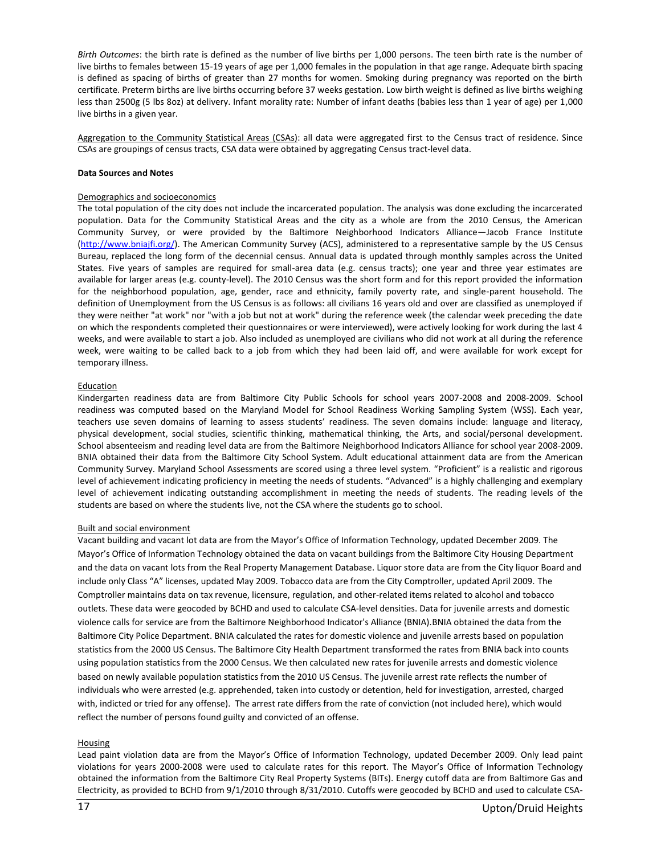*Birth Outcomes*: the birth rate is defined as the number of live births per 1,000 persons. The teen birth rate is the number of live births to females between 15-19 years of age per 1,000 females in the population in that age range. Adequate birth spacing is defined as spacing of births of greater than 27 months for women. Smoking during pregnancy was reported on the birth certificate. Preterm births are live births occurring before 37 weeks gestation. Low birth weight is defined as live births weighing less than 2500g (5 lbs 8oz) at delivery. Infant morality rate: Number of infant deaths (babies less than 1 year of age) per 1,000 live births in a given year.

Aggregation to the Community Statistical Areas (CSAs): all data were aggregated first to the Census tract of residence. Since CSAs are groupings of census tracts, CSA data were obtained by aggregating Census tract-level data.

#### **Data Sources and Notes**

#### Demographics and socioeconomics

The total population of the city does not include the incarcerated population. The analysis was done excluding the incarcerated population. Data for the Community Statistical Areas and the city as a whole are from the 2010 Census, the American Community Survey, or were provided by the Baltimore Neighborhood Indicators Alliance—Jacob France Institute [\(http://www.bniajfi.org/\)](http://www.bniajfi.org/). The American Community Survey (ACS), administered to a representative sample by the US Census Bureau, replaced the long form of the decennial census. Annual data is updated through monthly samples across the United States. Five years of samples are required for small-area data (e.g. census tracts); one year and three year estimates are available for larger areas (e.g. county-level). The 2010 Census was the short form and for this report provided the information for the neighborhood population, age, gender, race and ethnicity, family poverty rate, and single-parent household. The definition of Unemployment from the US Census is as follows: all civilians 16 years old and over are classified as unemployed if they were neither "at work" nor "with a job but not at work" during the reference week (the calendar week preceding the date on which the respondents completed their questionnaires or were interviewed), were actively looking for work during the last 4 weeks, and were available to start a job. Also included as unemployed are civilians who did not work at all during the reference week, were waiting to be called back to a job from which they had been laid off, and were available for work except for temporary illness.

#### **Education**

Kindergarten readiness data are from Baltimore City Public Schools for school years 2007-2008 and 2008-2009. School readiness was computed based on the Maryland Model for School Readiness Working Sampling System (WSS). Each year, teachers use seven domains of learning to assess students' readiness. The seven domains include: language and literacy, physical development, social studies, scientific thinking, mathematical thinking, the Arts, and social/personal development. School absenteeism and reading level data are from the Baltimore Neighborhood Indicators Alliance for school year 2008-2009. BNIA obtained their data from the Baltimore City School System. Adult educational attainment data are from the American Community Survey. Maryland School Assessments are scored using a three level system. "Proficient" is a realistic and rigorous level of achievement indicating proficiency in meeting the needs of students. "Advanced" is a highly challenging and exemplary level of achievement indicating outstanding accomplishment in meeting the needs of students. The reading levels of the students are based on where the students live, not the CSA where the students go to school.

#### Built and social environment

Vacant building and vacant lot data are from the Mayor's Office of Information Technology, updated December 2009. The Mayor's Office of Information Technology obtained the data on vacant buildings from the Baltimore City Housing Department and the data on vacant lots from the Real Property Management Database. Liquor store data are from the City liquor Board and include only Class "A" licenses, updated May 2009. Tobacco data are from the City Comptroller, updated April 2009. The Comptroller maintains data on tax revenue, licensure, regulation, and other-related items related to alcohol and tobacco outlets. These data were geocoded by BCHD and used to calculate CSA-level densities. Data for juvenile arrests and domestic violence calls for service are from the Baltimore Neighborhood Indicator's Alliance (BNIA).BNIA obtained the data from the Baltimore City Police Department. BNIA calculated the rates for domestic violence and juvenile arrests based on population statistics from the 2000 US Census. The Baltimore City Health Department transformed the rates from BNIA back into counts using population statistics from the 2000 Census. We then calculated new rates for juvenile arrests and domestic violence based on newly available population statistics from the 2010 US Census. The juvenile arrest rate reflects the number of individuals who were arrested (e.g. apprehended, taken into custody or detention, held for investigation, arrested, charged with, indicted or tried for any offense). The arrest rate differs from the rate of conviction (not included here), which would reflect the number of persons found guilty and convicted of an offense.

#### Housing

Lead paint violation data are from the Mayor's Office of Information Technology, updated December 2009. Only lead paint violations for years 2000-2008 were used to calculate rates for this report. The Mayor's Office of Information Technology obtained the information from the Baltimore City Real Property Systems (BITs). Energy cutoff data are from Baltimore Gas and Electricity, as provided to BCHD from 9/1/2010 through 8/31/2010. Cutoffs were geocoded by BCHD and used to calculate CSA-